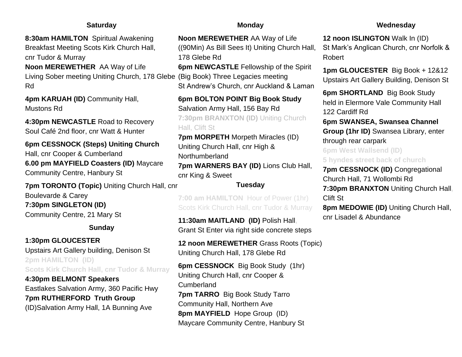## **Saturday**

**8:30am HAMILTON** Spiritual Awakening Breakfast Meeting Scots Kirk Church Hall, cnr Tudor & Murray **Noon MEREWETHER** AA Way of Life

Rd

**4pm KARUAH (ID)** Community Hall, Mustons Rd

**4:30pm NEWCASTLE** Road to Recovery Soul Café 2nd floor, cnr Watt & Hunter

**6pm CESSNOCK (Steps) Uniting Church**  Hall, cnr Cooper & Cumberland **6.00 pm MAYFIELD Coasters (ID)** Maycare Community Centre, Hanbury St

**7pm TORONTO (Topic)** Uniting Church Hall, cnr Boulevarde & Carey **7:30pm SINGLETON (ID)** Community Centre, 21 Mary St

### **Sunday**

**1:30pm GLOUCESTER**  Upstairs Art Gallery building, Denison St **2pm HAMILTON (ID) Scots Kirk Church Hall, cnr Tudor & Murray**

**4:30pm BELMONT Speakers**  Eastlakes Salvation Army, 360 Pacific Hwy **7pm RUTHERFORD Truth Group**  (ID)Salvation Army Hall, 1A Bunning Ave

### **Monday**

**Noon MEREWETHER** AA Way of Life ((90Min) As Bill Sees It) Uniting Church Hall, 178 Glebe Rd

Living Sober meeting Uniting Church, 178 Glebe (Big Book) Three Legacies meeting **6pm NEWCASTLE** Fellowship of the Spirit St Andrew's Church, cnr Auckland & Laman

> **6pm BOLTON POINT Big Book Study**  Salvation Army Hall, 156 Bay Rd **7:30pm BRANXTON (ID)** Uniting Church Hall, Clift St

**7pm MORPETH** Morpeth Miracles (ID) Uniting Church Hall, cnr High & Northumberland **7pm WARNERS BAY (ID)** Lions Club Hall, cnr King & Sweet

# **Tuesday**

**7:00 am HAMILTON** Hour of Power (1hr) Scots Kirk Church Hall, cnr Tudor & Murray

**11:30am MAITLAND (ID)** Polish Hall**,**  Grant St Enter via right side concrete steps

**12 noon MEREWETHER** Grass Roots (Topic) Uniting Church Hall, 178 Glebe Rd

**6pm CESSNOCK** Big Book Study (1hr) Uniting Church Hall, cnr Cooper & Cumberland **7pm TARRO** Big Book Study Tarro Community Hall, Northern Ave **8pm MAYFIELD** Hope Group (ID) Maycare Community Centre, Hanbury St

## **Wednesday**

**12 noon ISLINGTON** Walk In (ID) St Mark's Anglican Church, cnr Norfolk & Robert

**1pm GLOUCESTER** Big Book + 12&12 Upstairs Art Gallery Building, Denison St

**6pm SHORTLAND** Big Book Study held in Elermore Vale Community Hall 122 Cardiff Rd

**6pm SWANSEA, Swansea Channel Group (1hr ID)** Swansea Library, enter through rear carpark

**6pm West Wallsend (ID) 5 hyndes street back of church**

**7pm CESSNOCK (ID)** Congregational Church Hall, 71 Wollombi Rd **7:30pm BRANXTON** Uniting Church Hall**,**  Clift St

**8pm MEDOWIE (ID)** Uniting Church Hall, cnr Lisadel & Abundance